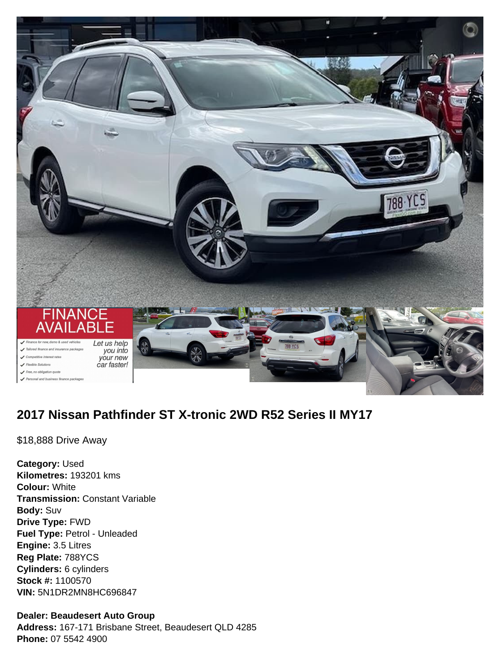

# **2017 Nissan Pathfinder ST X-tronic 2WD R52 Series II MY17**

\$18,888 Drive Away

**Category:** Used **Kilometres:** 193201 kms **Colour:** White **Transmission:** Constant Variable **Body:** Suv **Drive Type:** FWD **Fuel Type:** Petrol - Unleaded **Engine:** 3.5 Litres **Reg Plate:** 788YCS **Cylinders:** 6 cylinders **Stock #:** 1100570 **VIN:** 5N1DR2MN8HC696847

#### **Dealer: Beaudesert Auto Group**

**Address:** 167-171 Brisbane Street, Beaudesert QLD 4285 **Phone:** 07 5542 4900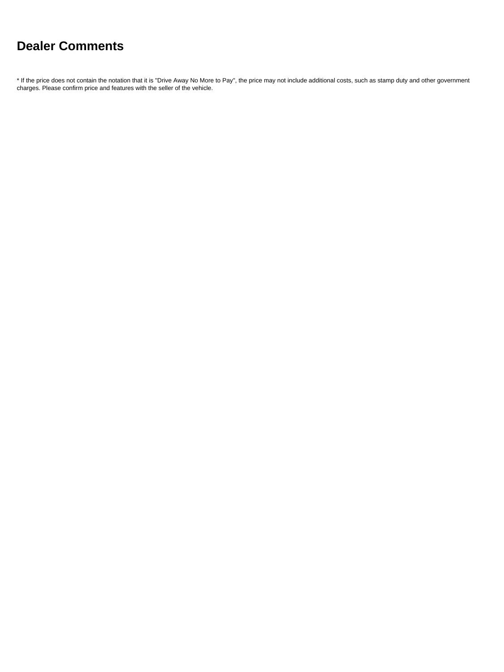# **Dealer Comments**

\* If the price does not contain the notation that it is "Drive Away No More to Pay", the price may not include additional costs, such as stamp duty and other government charges. Please confirm price and features with the seller of the vehicle.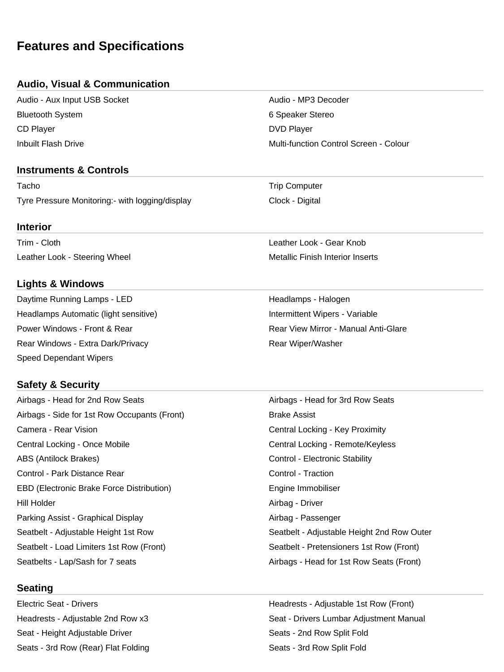## **Features and Specifications**

#### **Audio, Visual & Communication**

Audio - Aux Input USB Socket Audio - MP3 Decoder Bluetooth System 6 Speaker Stereo CD Player DVD Player

#### **Instruments & Controls**

Tacho **Trip Computer** Trip Computer Tyre Pressure Monitoring:- with logging/display Clock - Digital

#### **Interior**

Trim - Cloth Leather Look - Gear Knob Leather Look - Steering Wheel Metallic Finish Interior Inserts

#### **Lights & Windows**

Daytime Running Lamps - LED **Headlamps - Halogen** Halogen Headlamps Automatic (light sensitive) **Intermittent Wipers - Variable** Intermittent Wipers - Variable Power Windows - Front & Rear **Rear Rear Rear View Mirror - Manual Anti-Glare** Rear Windows - Extra Dark/Privacy **Rear Wiper/Washer** Rear Wiper/Washer Speed Dependant Wipers

#### **Safety & Security**

Airbags - Side for 1st Row Occupants (Front) Brake Assist Camera - Rear Vision Central Locking - Key Proximity Central Locking - Once Mobile Central Locking - Remote/Keyless ABS (Antilock Brakes) The Control - Electronic Stability Control - Electronic Stability Control - Park Distance Rear Control - Traction EBD (Electronic Brake Force Distribution) The Summon Engine Immobiliser Hill Holder **Airbag - Driver** Airbag - Driver Parking Assist - Graphical Display Accord Airbag - Passenger Seatbelt - Load Limiters 1st Row (Front) Seatbelt - Pretensioners 1st Row (Front) Seatbelts - Lap/Sash for 7 seats Airbags - Head for 1st Row Seats (Front)

#### **Seating**

Seat - Height Adjustable Driver Seats - 2nd Row Split Fold Seats - 3rd Row (Rear) Flat Folding Seats - 3rd Row Split Fold

Inbuilt Flash Drive Multi-function Control Screen - Colour

Airbags - Head for 2nd Row Seats Airbags - Head for 3rd Row Seats Seatbelt - Adjustable Height 1st Row Seatbelt - Adjustable Height 2nd Row Outer

Electric Seat - Drivers Headrests - Adjustable 1st Row (Front) Headrests - Adjustable 2nd Row x3 Seat - Drivers Lumbar Adjustment Manual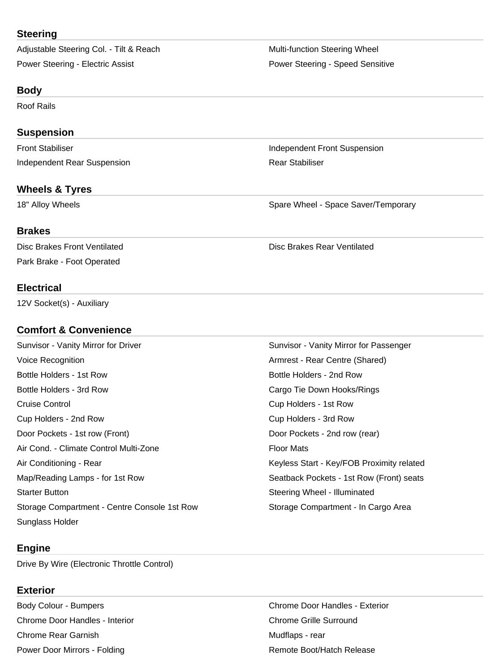#### **Steering**

Adjustable Steering Col. - Tilt & Reach Multi-function Steering Wheel Power Steering - Electric Assist **Power Steering - Speed Sensitive** Power Steering - Speed Sensitive

#### **Body**

Roof Rails

#### **Suspension**

**Independent Rear Suspension Communisty Communisty Rear Stabiliser** 

#### **Wheels & Tyres**

# Front Stabiliser **Independent Front Suspension**

18" Alloy Wheels **Spare Wheel - Space Saver/Temporary** Spare Wheel - Space Saver/Temporary

#### **Brakes**

Disc Brakes Front Ventilated **Disc Brakes Rear Ventilated** Disc Brakes Rear Ventilated Park Brake - Foot Operated

#### **Electrical**

12V Socket(s) - Auxiliary

#### **Comfort & Convenience**

Sunvisor - Vanity Mirror for Driver Sunvisor - Vanity Mirror for Passenger Voice Recognition **Armrest - Rear Centre (Shared**) Armrest - Rear Centre (Shared) Bottle Holders - 1st Row **Bottle Holders - 2nd Row** Bottle Holders - 2nd Row Bottle Holders - 3rd Row Cargo Tie Down Hooks/Rings Cruise Control Cup Holders - 1st Row Cup Holders - 2nd Row Cup Holders - 3rd Row Door Pockets - 1st row (Front) Door Pockets - 2nd row (rear) Air Cond. - Climate Control Multi-Zone Floor Mats Air Conditioning - Rear Keyless Start - Key/FOB Proximity related Map/Reading Lamps - for 1st Row Seatback Pockets - 1st Row (Front) seats Starter Button Starter Button Steering Wheel - Illuminated Storage Compartment - Centre Console 1st Row Storage Compartment - In Cargo Area Sunglass Holder

#### **Engine**

Drive By Wire (Electronic Throttle Control)

#### **Exterior**

Chrome Door Handles - Interior Chrome Grille Surround Chrome Rear Garnish **Mudflaps - rear** Mudflaps - rear Power Door Mirrors - Folding Remote Boot/Hatch Release

Body Colour - Bumpers **Chrome Door Handles - Exterior** Chrome Door Handles - Exterior